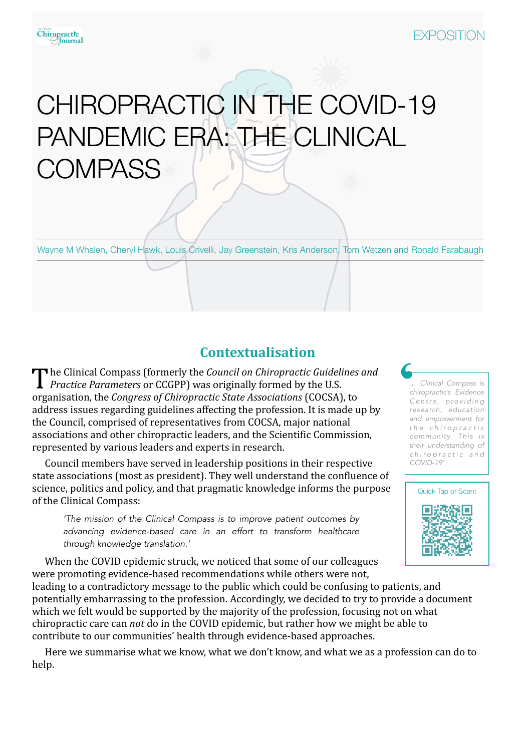# CHIROPRACTIC IN THE COVID-19 PANDEMIC ERA: THE CLINICAL **COMPASS**

Wayne M Whalen, Cheryl Hawk, Louis Crivelli, Jay Greenstein, Kris Anderson, Tom Wetzen and Ronald Farabaugh

## **Contextualisation**

The Clinical Compass (formerly the *Council on Chiropractic Guidelines and Practice Parameters* or CCGPP) was originally formed by the U.S. organisation, the *Congress of Chiropractic State Associations* (COCSA), to address issues regarding guidelines affecting the profession. It is made up by the Council, comprised of representatives from COCSA, major national associations and other chiropractic leaders, and the Scientific Commission, represented by various leaders and experts in research.

Council members have served in leadership positions in their respective state associations (most as president). They well understand the confluence of science, politics and policy, and that pragmatic knowledge informs the purpose of the Clinical Compass:

*'The mission of the Clinical Compass is to improve patient outcomes by advancing evidence-based care in an effort to transform healthcare through knowledge translation.'* 

*… Clinical Compass is chiropractic's Evidence C e n t re , p ro v i d i n g research, education and empowerment for t h e c h i r o p r a c t i c community. This is their understanding of c h i r o p r a c t i c a n d COVID-19'*



When the COVID epidemic struck, we noticed that some of our colleagues were promoting evidence-based recommendations while others were not,

leading to a contradictory message to the public which could be confusing to patients, and potentially embarrassing to the profession. Accordingly, we decided to try to provide a document which we felt would be supported by the majority of the profession, focusing not on what chiropractic care can *not* do in the COVID epidemic, but rather how we might be able to contribute to our communities' health through evidence-based approaches.

Here we summarise what we know, what we don't know, and what we as a profession can do to help.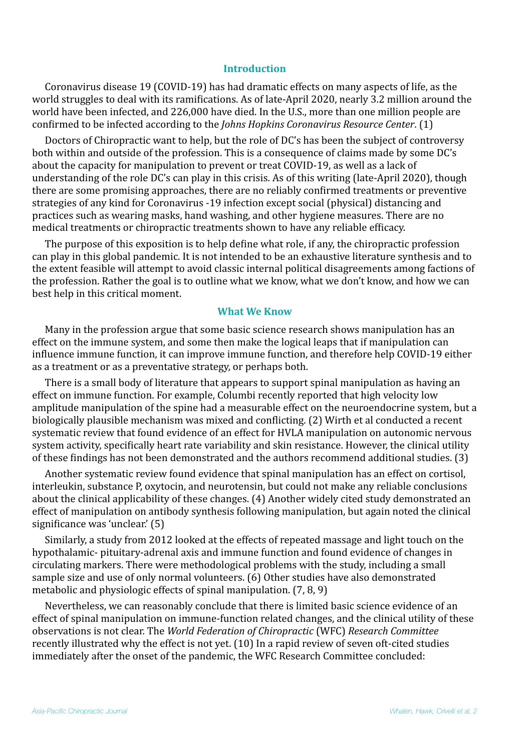#### **Introduction**

Coronavirus disease 19 (COVID-19) has had dramatic effects on many aspects of life, as the world struggles to deal with its ramifications. As of late-April 2020, nearly 3.2 million around the world have been infected, and 226,000 have died. In the U.S., more than one million people are confirmed to be infected according to the *Johns Hopkins Coronavirus Resource Center*. (1)

Doctors of Chiropractic want to help, but the role of DC's has been the subject of controversy both within and outside of the profession. This is a consequence of claims made by some DC's about the capacity for manipulation to prevent or treat COVID-19, as well as a lack of understanding of the role DC's can play in this crisis. As of this writing (late-April 2020), though there are some promising approaches, there are no reliably confirmed treatments or preventive strategies of any kind for Coronavirus -19 infection except social (physical) distancing and practices such as wearing masks, hand washing, and other hygiene measures. There are no medical treatments or chiropractic treatments shown to have any reliable efficacy.

The purpose of this exposition is to help define what role, if any, the chiropractic profession can play in this global pandemic. It is not intended to be an exhaustive literature synthesis and to the extent feasible will attempt to avoid classic internal political disagreements among factions of the profession. Rather the goal is to outline what we know, what we don't know, and how we can best help in this critical moment.

#### **What We Know**

Many in the profession argue that some basic science research shows manipulation has an effect on the immune system, and some then make the logical leaps that if manipulation can influence immune function, it can improve immune function, and therefore help COVID-19 either as a treatment or as a preventative strategy, or perhaps both.

There is a small body of literature that appears to support spinal manipulation as having an effect on immune function. For example, Columbi recently reported that high velocity low amplitude manipulation of the spine had a measurable effect on the neuroendocrine system, but a biologically plausible mechanism was mixed and conflicting. (2) Wirth et al conducted a recent systematic review that found evidence of an effect for HVLA manipulation on autonomic nervous system activity, specifically heart rate variability and skin resistance. However, the clinical utility of these findings has not been demonstrated and the authors recommend additional studies.  $(3)$ 

Another systematic review found evidence that spinal manipulation has an effect on cortisol, interleukin, substance P, oxytocin, and neurotensin, but could not make any reliable conclusions about the clinical applicability of these changes. (4) Another widely cited study demonstrated an effect of manipulation on antibody synthesis following manipulation, but again noted the clinical significance was 'unclear.'  $(5)$ 

Similarly, a study from 2012 looked at the effects of repeated massage and light touch on the hypothalamic- pituitary-adrenal axis and immune function and found evidence of changes in circulating markers. There were methodological problems with the study, including a small sample size and use of only normal volunteers. (6) Other studies have also demonstrated metabolic and physiologic effects of spinal manipulation.  $(7, 8, 9)$ 

Nevertheless, we can reasonably conclude that there is limited basic science evidence of an effect of spinal manipulation on immune-function related changes, and the clinical utility of these observations is not clear. The *World Federation of Chiropractic* (WFC) *Research Committee* recently illustrated why the effect is not yet. (10) In a rapid review of seven oft-cited studies immediately after the onset of the pandemic, the WFC Research Committee concluded: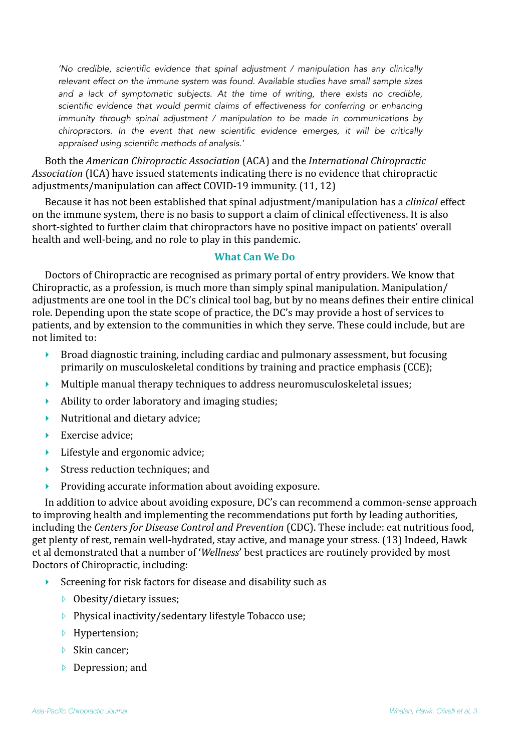*'No credible, scientific evidence that spinal adjustment / manipulation has any clinically relevant effect on the immune system was found. Available studies have small sample sizes and a lack of symptomatic subjects. At the time of writing, there exists no credible, scientific evidence that would permit claims of effectiveness for conferring or enhancing immunity through spinal adjustment / manipulation to be made in communications by chiropractors. In the event that new scientific evidence emerges, it will be critically appraised using scientific methods of analysis.'* 

Both the *American Chiropractic Association* (ACA) and the *International Chiropractic Association* (ICA) have issued statements indicating there is no evidence that chiropractic adjustments/manipulation can affect COVID-19 immunity. (11, 12)

Because it has not been established that spinal adjustment/manipulation has a *clinical* effect on the immune system, there is no basis to support a claim of clinical effectiveness. It is also short-sighted to further claim that chiropractors have no positive impact on patients' overall health and well-being, and no role to play in this pandemic.

### **What Can We Do**

Doctors of Chiropractic are recognised as primary portal of entry providers. We know that Chiropractic, as a profession, is much more than simply spinal manipulation. Manipulation/ adjustments are one tool in the DC's clinical tool bag, but by no means defines their entire clinical role. Depending upon the state scope of practice, the DC's may provide a host of services to patients, and by extension to the communities in which they serve. These could include, but are not limited to:

- $\triangleright$  Broad diagnostic training, including cardiac and pulmonary assessment, but focusing primarily on musculoskeletal conditions by training and practice emphasis (CCE);
- $\blacktriangleright$  Multiple manual therapy techniques to address neuromusculoskeletal issues;
- $\blacktriangleright$  Ability to order laboratory and imaging studies;
- $\blacktriangleright$  Nutritional and dietary advice;
- $\blacktriangleright$  Exercise advice:
- Lifestyle and ergonomic advice;
- $\blacktriangleright$  Stress reduction techniques; and
- $\triangleright$  Providing accurate information about avoiding exposure.

In addition to advice about avoiding exposure, DC's can recommend a common-sense approach to improving health and implementing the recommendations put forth by leading authorities, including the *Centers for Disease Control and Prevention* (CDC). These include: eat nutritious food, get plenty of rest, remain well-hydrated, stay active, and manage your stress. (13) Indeed, Hawk et al demonstrated that a number of '*Wellness*' best practices are routinely provided by most Doctors of Chiropractic, including:

- $\triangleright$  Screening for risk factors for disease and disability such as
	- $\triangleright$  Obesity/dietary issues;
	- $\triangleright$  Physical inactivity/sedentary lifestyle Tobacco use;
	- **▷** Hypertension;
	- $\triangleright$  Skin cancer:
	- $\triangleright$  Depression; and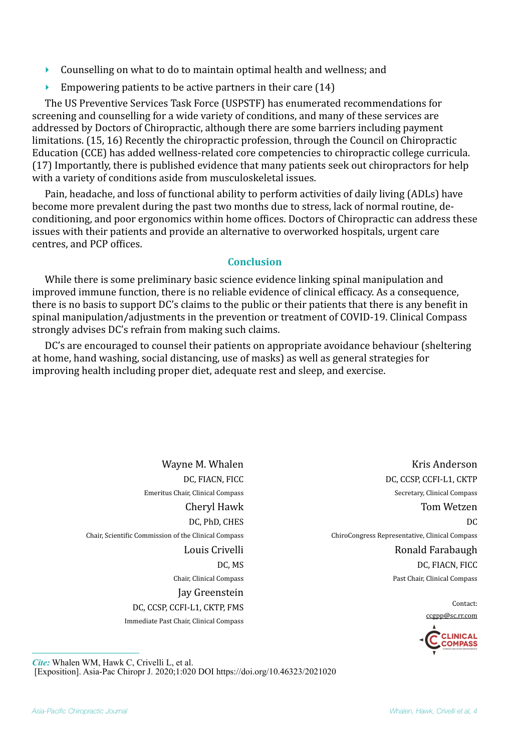- $\triangleright$  Counselling on what to do to maintain optimal health and wellness; and
- $\triangleright$  Empowering patients to be active partners in their care (14)

The US Preventive Services Task Force (USPSTF) has enumerated recommendations for screening and counselling for a wide variety of conditions, and many of these services are addressed by Doctors of Chiropractic, although there are some barriers including payment limitations. (15, 16) Recently the chiropractic profession, through the Council on Chiropractic Education (CCE) has added wellness-related core competencies to chiropractic college curricula. (17) Importantly, there is published evidence that many patients seek out chiropractors for help with a variety of conditions aside from musculoskeletal issues.

Pain, headache, and loss of functional ability to perform activities of daily living (ADLs) have become more prevalent during the past two months due to stress, lack of normal routine, deconditioning, and poor ergonomics within home offices. Doctors of Chiropractic can address these issues with their patients and provide an alternative to overworked hospitals, urgent care centres, and PCP offices.

#### **Conclusion**

While there is some preliminary basic science evidence linking spinal manipulation and improved immune function, there is no reliable evidence of clinical efficacy. As a consequence, there is no basis to support  $DC'$ s claims to the public or their patients that there is any benefit in spinal manipulation/adjustments in the prevention or treatment of COVID-19. Clinical Compass strongly advises DC's refrain from making such claims.

DC's are encouraged to counsel their patients on appropriate avoidance behaviour (sheltering at home, hand washing, social distancing, use of masks) as well as general strategies for improving health including proper diet, adequate rest and sleep, and exercise.

> Wayne M. Whalen DC, FIACN, FICC Emeritus Chair, Clinical Compass Cheryl Hawk DC, PhD, CHES Chair, Scientific Commission of the Clinical Compass Louis Crivelli DC, MS Chair, Clinical Compass Jay Greenstein DC, CCSP, CCFI-L1, CKTP, FMS Immediate Past Chair, Clinical Compass

Kris Anderson DC, CCSP, CCFI-L1, CKTP Secretary, Clinical Compass Tom Wetzen  $DC$ ChiroCongress Representative, Clinical Compass Ronald Farabaugh DC, FIACN, FICC Past Chair, Clinical Compass

Contact:

[ccgpp@sc.rr.com](mailto:ccgpp@sc.rr.com) 



*Cite:* Whalen WM, Hawk C, Crivelli L, et al. [Exposition]. Asia-Pac Chiropr J. 2020;1:020 DOI<https://doi.org/10.46323/2021020>